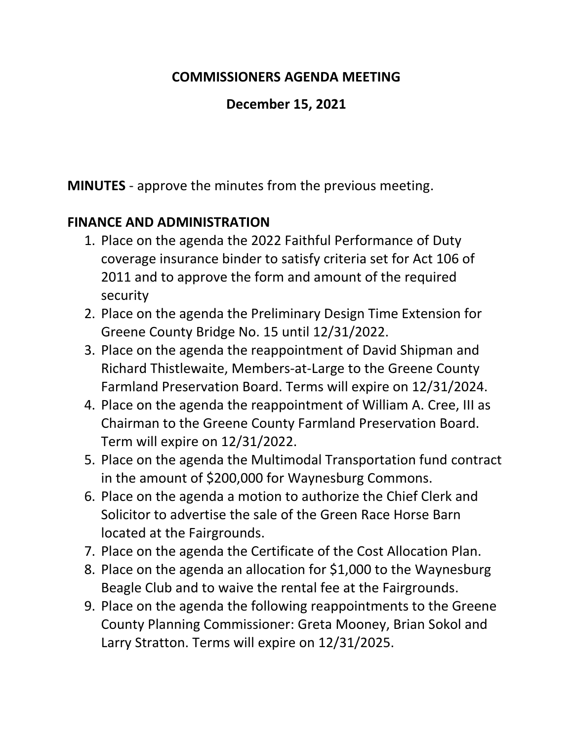#### **COMMISSIONERS AGENDA MEETING**

### **December 15, 2021**

**MINUTES** - approve the minutes from the previous meeting.

## **FINANCE AND ADMINISTRATION**

- 1. Place on the agenda the 2022 Faithful Performance of Duty coverage insurance binder to satisfy criteria set for Act 106 of 2011 and to approve the form and amount of the required security
- 2. Place on the agenda the Preliminary Design Time Extension for Greene County Bridge No. 15 until 12/31/2022.
- 3. Place on the agenda the reappointment of David Shipman and Richard Thistlewaite, Members-at-Large to the Greene County Farmland Preservation Board. Terms will expire on 12/31/2024.
- 4. Place on the agenda the reappointment of William A. Cree, III as Chairman to the Greene County Farmland Preservation Board. Term will expire on 12/31/2022.
- 5. Place on the agenda the Multimodal Transportation fund contract in the amount of \$200,000 for Waynesburg Commons.
- 6. Place on the agenda a motion to authorize the Chief Clerk and Solicitor to advertise the sale of the Green Race Horse Barn located at the Fairgrounds.
- 7. Place on the agenda the Certificate of the Cost Allocation Plan.
- 8. Place on the agenda an allocation for \$1,000 to the Waynesburg Beagle Club and to waive the rental fee at the Fairgrounds.
- 9. Place on the agenda the following reappointments to the Greene County Planning Commissioner: Greta Mooney, Brian Sokol and Larry Stratton. Terms will expire on 12/31/2025.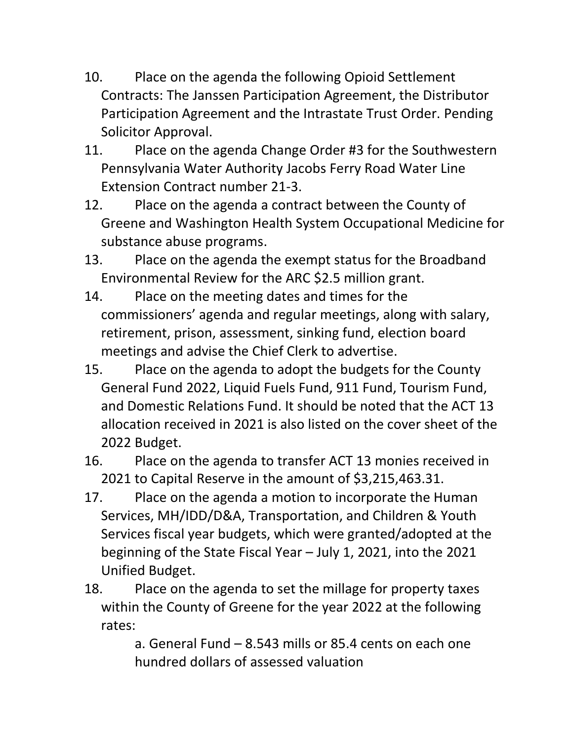- 10. Place on the agenda the following Opioid Settlement Contracts: The Janssen Participation Agreement, the Distributor Participation Agreement and the Intrastate Trust Order. Pending Solicitor Approval.
- 11. Place on the agenda Change Order #3 for the Southwestern Pennsylvania Water Authority Jacobs Ferry Road Water Line Extension Contract number 21-3.
- 12. Place on the agenda a contract between the County of Greene and Washington Health System Occupational Medicine for substance abuse programs.
- 13. Place on the agenda the exempt status for the Broadband Environmental Review for the ARC \$2.5 million grant.
- 14. Place on the meeting dates and times for the commissioners' agenda and regular meetings, along with salary, retirement, prison, assessment, sinking fund, election board meetings and advise the Chief Clerk to advertise.
- 15. Place on the agenda to adopt the budgets for the County General Fund 2022, Liquid Fuels Fund, 911 Fund, Tourism Fund, and Domestic Relations Fund. It should be noted that the ACT 13 allocation received in 2021 is also listed on the cover sheet of the 2022 Budget.
- 16. Place on the agenda to transfer ACT 13 monies received in 2021 to Capital Reserve in the amount of \$3,215,463.31.
- 17. Place on the agenda a motion to incorporate the Human Services, MH/IDD/D&A, Transportation, and Children & Youth Services fiscal year budgets, which were granted/adopted at the beginning of the State Fiscal Year – July 1, 2021, into the 2021 Unified Budget.
- 18. Place on the agenda to set the millage for property taxes within the County of Greene for the year 2022 at the following rates:

a. General Fund – 8.543 mills or 85.4 cents on each one hundred dollars of assessed valuation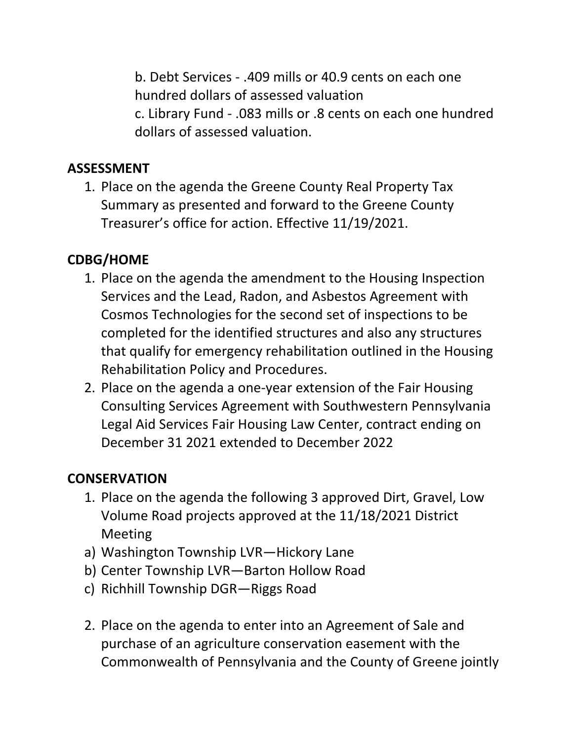b. Debt Services - .409 mills or 40.9 cents on each one hundred dollars of assessed valuation c. Library Fund - .083 mills or .8 cents on each one hundred dollars of assessed valuation.

#### **ASSESSMENT**

1. Place on the agenda the Greene County Real Property Tax Summary as presented and forward to the Greene County Treasurer's office for action. Effective 11/19/2021.

# **CDBG/HOME**

- 1. Place on the agenda the amendment to the Housing Inspection Services and the Lead, Radon, and Asbestos Agreement with Cosmos Technologies for the second set of inspections to be completed for the identified structures and also any structures that qualify for emergency rehabilitation outlined in the Housing Rehabilitation Policy and Procedures.
- 2. Place on the agenda a one-year extension of the Fair Housing Consulting Services Agreement with Southwestern Pennsylvania Legal Aid Services Fair Housing Law Center, contract ending on December 31 2021 extended to December 2022

## **CONSERVATION**

- 1. Place on the agenda the following 3 approved Dirt, Gravel, Low Volume Road projects approved at the 11/18/2021 District Meeting
- a) Washington Township LVR—Hickory Lane
- b) Center Township LVR—Barton Hollow Road
- c) Richhill Township DGR—Riggs Road
- 2. Place on the agenda to enter into an Agreement of Sale and purchase of an agriculture conservation easement with the Commonwealth of Pennsylvania and the County of Greene jointly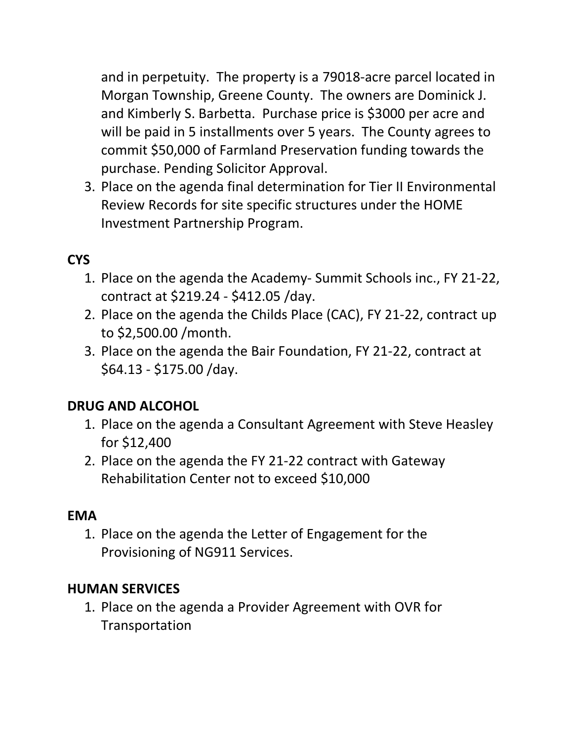and in perpetuity. The property is a 79018-acre parcel located in Morgan Township, Greene County. The owners are Dominick J. and Kimberly S. Barbetta. Purchase price is \$3000 per acre and will be paid in 5 installments over 5 years. The County agrees to commit \$50,000 of Farmland Preservation funding towards the purchase. Pending Solicitor Approval.

3. Place on the agenda final determination for Tier II Environmental Review Records for site specific structures under the HOME Investment Partnership Program.

## **CYS**

- 1. Place on the agenda the Academy- Summit Schools inc., FY 21-22, contract at \$219.24 - \$412.05 /day.
- 2. Place on the agenda the Childs Place (CAC), FY 21-22, contract up to \$2,500.00 /month.
- 3. Place on the agenda the Bair Foundation, FY 21-22, contract at \$64.13 - \$175.00 /day.

# **DRUG AND ALCOHOL**

- 1. Place on the agenda a Consultant Agreement with Steve Heasley for \$12,400
- 2. Place on the agenda the FY 21-22 contract with Gateway Rehabilitation Center not to exceed \$10,000

#### **EMA**

1. Place on the agenda the Letter of Engagement for the Provisioning of NG911 Services.

#### **HUMAN SERVICES**

1. Place on the agenda a Provider Agreement with OVR for Transportation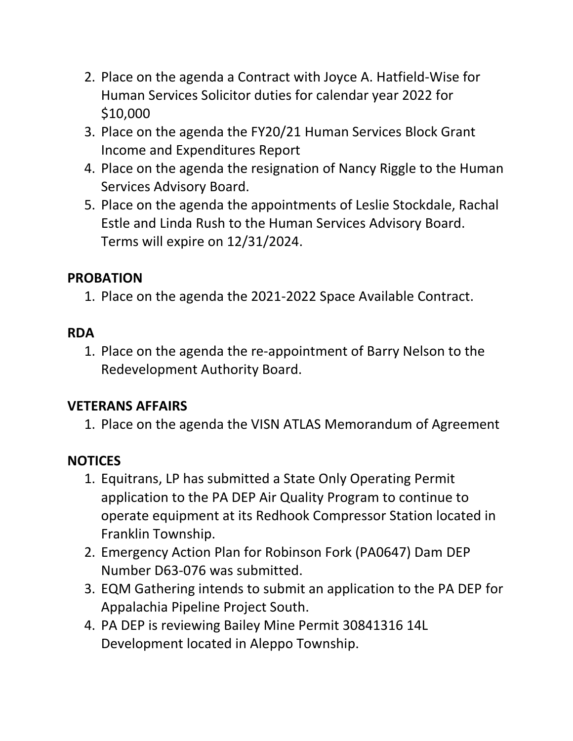- 2. Place on the agenda a Contract with Joyce A. Hatfield-Wise for Human Services Solicitor duties for calendar year 2022 for \$10,000
- 3. Place on the agenda the FY20/21 Human Services Block Grant Income and Expenditures Report
- 4. Place on the agenda the resignation of Nancy Riggle to the Human Services Advisory Board.
- 5. Place on the agenda the appointments of Leslie Stockdale, Rachal Estle and Linda Rush to the Human Services Advisory Board. Terms will expire on 12/31/2024.

#### **PROBATION**

1. Place on the agenda the 2021-2022 Space Available Contract.

#### **RDA**

1. Place on the agenda the re-appointment of Barry Nelson to the Redevelopment Authority Board.

#### **VETERANS AFFAIRS**

1. Place on the agenda the VISN ATLAS Memorandum of Agreement

#### **NOTICES**

- 1. Equitrans, LP has submitted a State Only Operating Permit application to the PA DEP Air Quality Program to continue to operate equipment at its Redhook Compressor Station located in Franklin Township.
- 2. Emergency Action Plan for Robinson Fork (PA0647) Dam DEP Number D63-076 was submitted.
- 3. EQM Gathering intends to submit an application to the PA DEP for Appalachia Pipeline Project South.
- 4. PA DEP is reviewing Bailey Mine Permit 30841316 14L Development located in Aleppo Township.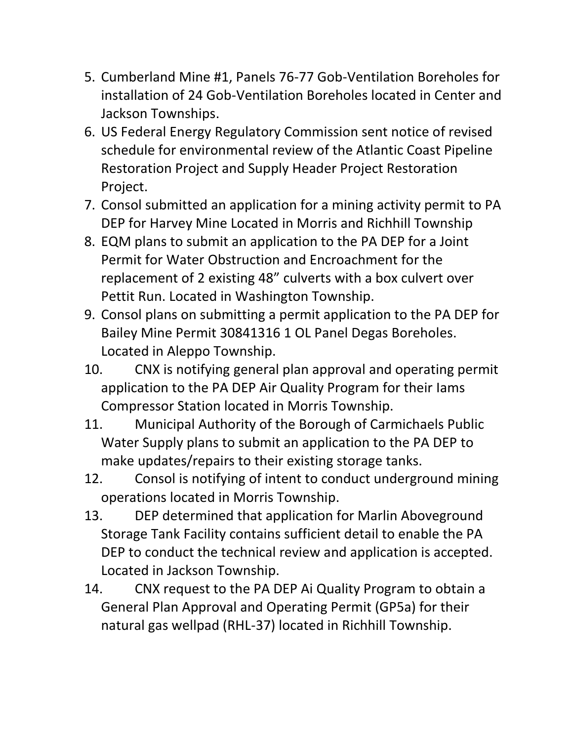- 5. Cumberland Mine #1, Panels 76-77 Gob-Ventilation Boreholes for installation of 24 Gob-Ventilation Boreholes located in Center and Jackson Townships.
- 6. US Federal Energy Regulatory Commission sent notice of revised schedule for environmental review of the Atlantic Coast Pipeline Restoration Project and Supply Header Project Restoration Project.
- 7. Consol submitted an application for a mining activity permit to PA DEP for Harvey Mine Located in Morris and Richhill Township
- 8. EQM plans to submit an application to the PA DEP for a Joint Permit for Water Obstruction and Encroachment for the replacement of 2 existing 48" culverts with a box culvert over Pettit Run. Located in Washington Township.
- 9. Consol plans on submitting a permit application to the PA DEP for Bailey Mine Permit 30841316 1 OL Panel Degas Boreholes. Located in Aleppo Township.
- 10. CNX is notifying general plan approval and operating permit application to the PA DEP Air Quality Program for their Iams Compressor Station located in Morris Township.
- 11. Municipal Authority of the Borough of Carmichaels Public Water Supply plans to submit an application to the PA DEP to make updates/repairs to their existing storage tanks.
- 12. Consol is notifying of intent to conduct underground mining operations located in Morris Township.
- 13. DEP determined that application for Marlin Aboveground Storage Tank Facility contains sufficient detail to enable the PA DEP to conduct the technical review and application is accepted. Located in Jackson Township.
- 14. CNX request to the PA DEP Ai Quality Program to obtain a General Plan Approval and Operating Permit (GP5a) for their natural gas wellpad (RHL-37) located in Richhill Township.